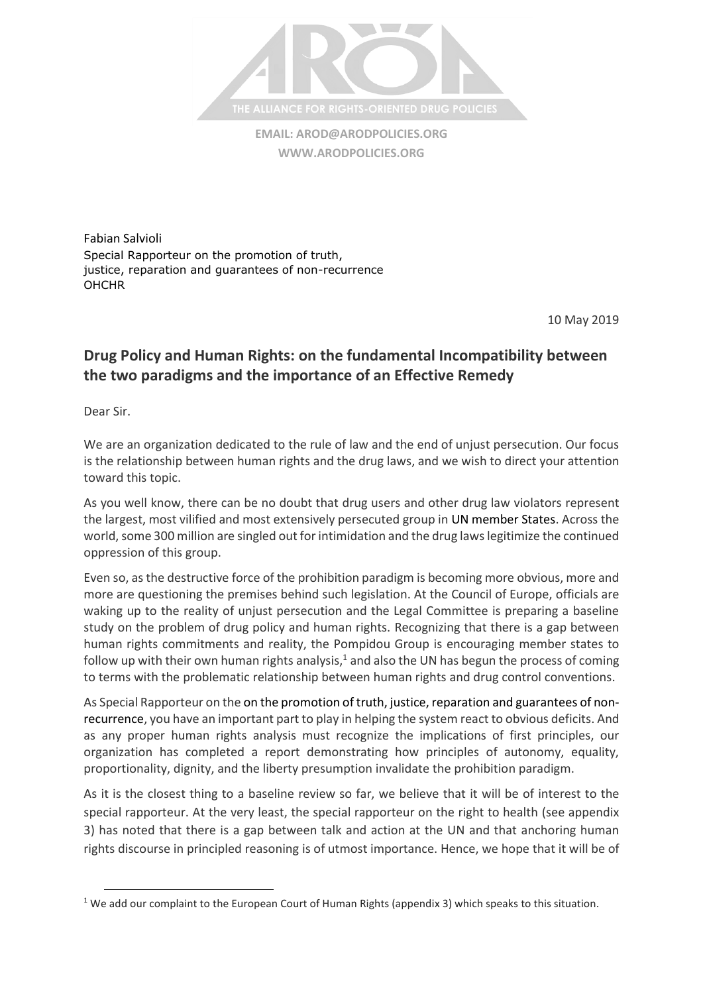

**EMAIL: [AROD@ARODPOLICIES.ORG](mailto:AROD@ARODPOLICIES.ORG) [WWW.ARODPOLICIES.ORG](http://www.arodpolicies.org/)**

Fabian Salvioli Special Rapporteur on the promotion of truth, justice, reparation and guarantees of non-recurrence **OHCHR** 

10 May 2019

## **Drug Policy and Human Rights: on the fundamental Incompatibility between the two paradigms and the importance of an Effective Remedy**

Dear Sir.

 $\overline{\phantom{a}}$ 

We are an organization dedicated to the rule of law and the end of unjust persecution. Our focus is the relationship between human rights and the drug laws, and we wish to direct your attention toward this topic.

As you well know, there can be no doubt that drug users and other drug law violators represent the largest, most vilified and most extensively persecuted group in UN member States. Across the world, some 300 million are singled out for intimidation and the drug laws legitimize the continued oppression of this group.

Even so, as the destructive force of the prohibition paradigm is becoming more obvious, more and more are questioning the premises behind such legislation. At the Council of Europe, officials are waking up to the reality of unjust persecution and the Legal Committee is preparing a baseline study on the problem of drug policy and human rights. Recognizing that there is a gap between human rights commitments and reality, the Pompidou Group is encouraging member states to follow up with their own human rights analysis, $<sup>1</sup>$  and also the UN has begun the process of coming</sup> to terms with the problematic relationship between human rights and drug control conventions.

As Special Rapporteur on the on the promotion of truth, justice, reparation and guarantees of nonrecurrence, you have an important part to play in helping the system react to obvious deficits. And as any proper human rights analysis must recognize the implications of first principles, our organization has completed a report demonstrating how principles of autonomy, equality, proportionality, dignity, and the liberty presumption invalidate the prohibition paradigm.

As it is the closest thing to a baseline review so far, we believe that it will be of interest to the special rapporteur. At the very least, the special rapporteur on the right to health (see appendix 3) has noted that there is a gap between talk and action at the UN and that anchoring human rights discourse in principled reasoning is of utmost importance. Hence, we hope that it will be of

<sup>&</sup>lt;sup>1</sup> We add our complaint to the European Court of Human Rights (appendix 3) which speaks to this situation.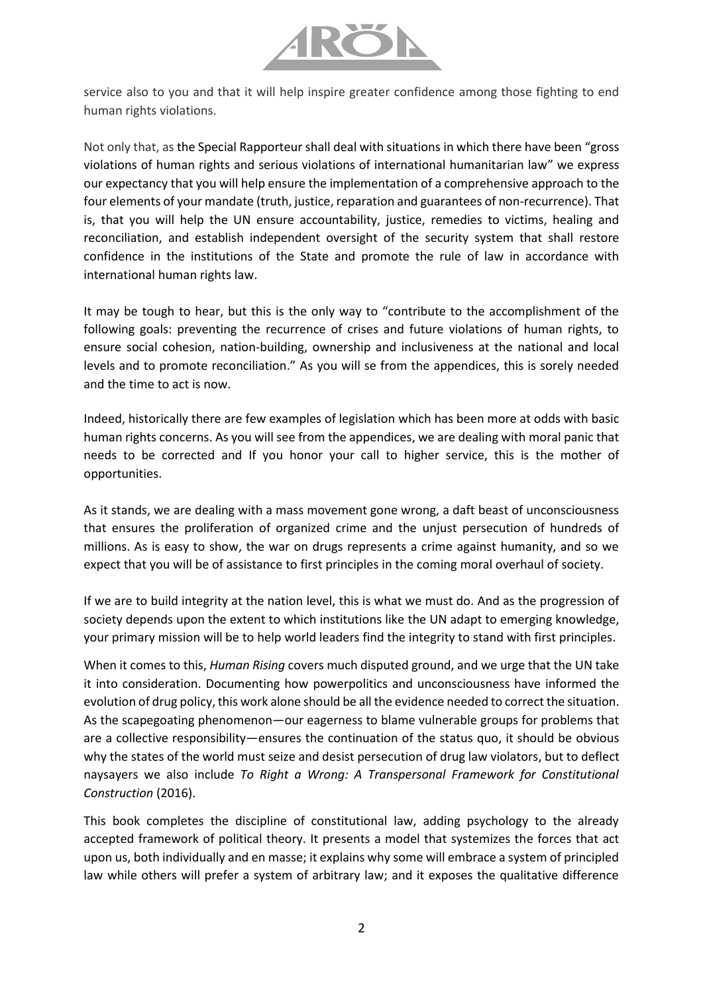

service also to you and that it will help inspire greater confidence among those fighting to end human rights violations.

Not only that, as the Special Rapporteur shall deal with situations in which there have been "gross violations of human rights and serious violations of international humanitarian law" we express our expectancy that you will help ensure the implementation of a comprehensive approach to the four elements of your mandate (truth, justice, reparation and guarantees of non-recurrence). That is, that you will help the UN ensure accountability, justice, remedies to victims, healing and reconciliation, and establish independent oversight of the security system that shall restore confidence in the institutions of the State and promote the rule of law in accordance with international human rights law.

It may be tough to hear, but this is the only way to "contribute to the accomplishment of the following goals: preventing the recurrence of crises and future violations of human rights, to ensure social cohesion, nation-building, ownership and inclusiveness at the national and local levels and to promote reconciliation." As you will se from the appendices, this is sorely needed and the time to act is now.

Indeed, historically there are few examples of legislation which has been more at odds with basic human rights concerns. As you will see from the appendices, we are dealing with moral panic that needs to be corrected and If you honor your call to higher service, this is the mother of opportunities.

As it stands, we are dealing with a mass movement gone wrong, a daft beast of unconsciousness that ensures the proliferation of organized crime and the unjust persecution of hundreds of millions. As is easy to show, the war on drugs represents a crime against humanity, and so we expect that you will be of assistance to first principles in the coming moral overhaul of society.

If we are to build integrity at the nation level, this is what we must do. And as the progression of society depends upon the extent to which institutions like the UN adapt to emerging knowledge, your primary mission will be to help world leaders find the integrity to stand with first principles.

When it comes to this, *Human Rising* covers much disputed ground, and we urge that the UN take it into consideration. Documenting how powerpolitics and unconsciousness have informed the evolution of drug policy, this work alone should be all the evidence needed to correct the situation. As the scapegoating phenomenon—our eagerness to blame vulnerable groups for problems that are a collective responsibility—ensures the continuation of the status quo, it should be obvious why the states of the world must seize and desist persecution of drug law violators, but to deflect naysayers we also include *To Right a Wrong: A Transpersonal Framework for Constitutional Construction* (2016).

This book completes the discipline of constitutional law, adding psychology to the already accepted framework of political theory. It presents a model that systemizes the forces that act upon us, both individually and en masse; it explains why some will embrace a system of principled law while others will prefer a system of arbitrary law; and it exposes the qualitative difference